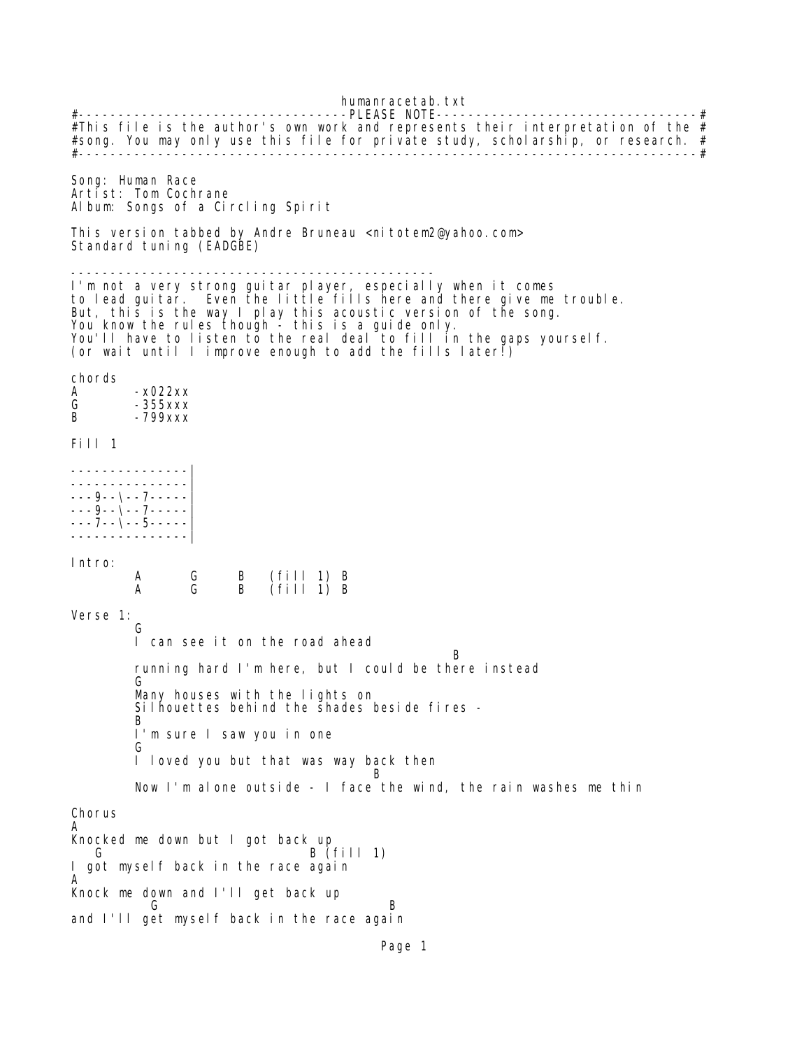humanracetab.txt #----------------------------------PLEASE NOTE---------------------------------# #This file is the author's own work and represents their interpretation of the  $#$ #song. You may only use this file for private study, scholarship, or research. # #------------------------------------------------------------------------------# Song: Human Race Artist: Tom Cochrane Album: Songs of a Circling Spirit This version tabbed by Andre Bruneau <nitotem2@yahoo.com> Standard tuning (EADGBE) ---------------------------------------------- I'm not a very strong guitar player, especially when it comes to lead guitar. Even the little fills here and there give me trouble. But, this is the way I play this acoustic version of the song. You know the rules though - this is a guide only. You'll have to listen to the real deal to fill in the gaps yourself. (or wait until I improve enough to add the fills later!) chords<br>A  $-x022xx$ G -355xxx B -799xxx Fill 1 ---------------| ---------------| ---9--\--7-----| ---9--\--7-----| ---7--\--5-----| ---------------| Intro: A G B (fill 1) B  $\hat{f}$  ill 1) B Verse 1: **Green** Green Green Green Green Green Green Green Green Green Green Green Green Green Green Green Green Green G I can see it on the road ahead B running hard I'm here, but I could be there instead **Green** Green Green Green Green Green Green Green Green Green Green Green Green Green Green Green Green Green G Many houses with the lights on Silhouettes behind the shades beside fires -<br>B **B**  I'm sure I saw you in one **Green** Green Green Green Green Green Green Green Green Green Green Green Green Green Green Green Green Green G I loved you but that was way back then **B**  Now I'm alone outside - I face the wind, the rain washes me thin Chorus A Knocked me down but I got back up  $B$  (fill 1) I got myself back in the race again A Knock me down and I'll get back up and **G** B and I'll get myself back in the race again